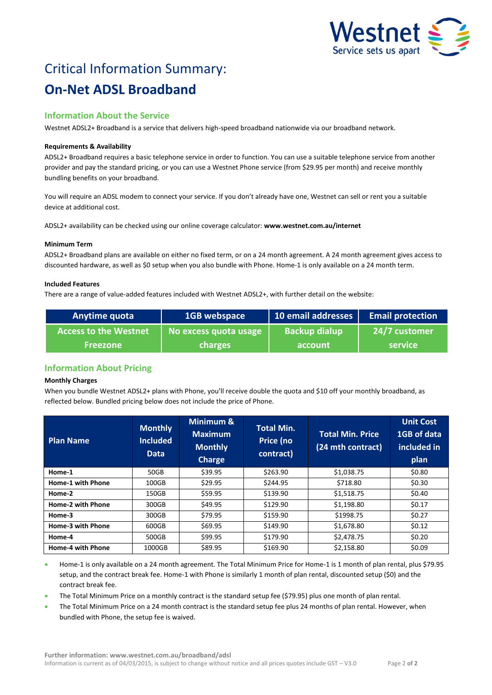

# Critical Information Summary: **On-Net ADSL Broadband**

# **Information About the Service**

Westnet ADSL2+ Broadband is a service that delivers high-speed broadband nationwide via our broadband network.

## **Requirements & Availability**

ADSL2+ Broadband requires a basic telephone service in order to function. You can use a suitable telephone service from another provider and pay the standard pricing, or you can use a Westnet Phone service (from \$29.95 per month) and receive monthly bundling benefits on your broadband.

You will require an ADSL modem to connect your service. If you don't already have one, Westnet can sell or rent you a suitable device at additional cost.

ADSL2+ availability can be checked using our online coverage calculator: **www.westnet.com.au/internet**

#### **Minimum Term**

ADSL2+ Broadband plans are available on either no fixed term, or on a 24 month agreement. A 24 month agreement gives access to discounted hardware, as well as \$0 setup when you also bundle with Phone. Home-1 is only available on a 24 month term.

#### **Included Features**

There are a range of value-added features included with Westnet ADSL2+, with further detail on the website:

| Anytime quota                | 1GB webspace          | 10 email addresses   | <b>Email protection</b> |
|------------------------------|-----------------------|----------------------|-------------------------|
| <b>Access to the Westnet</b> | No excess quota usage | <b>Backup dialup</b> | 24/7 customer           |
| <b>Freezone</b>              | charges               | account              | <b>service</b>          |

# **Information About Pricing**

# **Monthly Charges**

When you bundle Westnet ADSL2+ plans with Phone, you'll receive double the quota and \$10 off your monthly broadband, as reflected below. Bundled pricing below does not include the price of Phone.

| <b>Plan Name</b>         | <b>Monthly</b><br><b>Included</b><br><b>Data</b> | Minimum &<br><b>Maximum</b><br><b>Monthly</b><br><b>Charge</b> | <b>Total Min.</b><br>Price (no<br>contract) | <b>Total Min. Price</b><br>(24 mth contract) | <b>Unit Cost</b><br>1GB of data<br>included in<br>plan |
|--------------------------|--------------------------------------------------|----------------------------------------------------------------|---------------------------------------------|----------------------------------------------|--------------------------------------------------------|
| Home-1                   | 50GB                                             | \$39.95                                                        | \$263.90                                    | \$1,038.75                                   | \$0.80                                                 |
| Home-1 with Phone        | 100GB                                            | \$29.95                                                        | \$244.95                                    | \$718.80                                     | \$0.30                                                 |
| Home-2                   | 150GB                                            | \$59.95                                                        | \$139.90                                    | \$1,518.75                                   | \$0.40                                                 |
| Home-2 with Phone        | 300GB                                            | \$49.95                                                        | \$129.90                                    | \$1,198.80                                   | \$0.17                                                 |
| Home-3                   | 300GB                                            | \$79.95                                                        | \$159.90                                    | \$1998.75                                    | \$0.27                                                 |
| Home-3 with Phone        | 600GB                                            | \$69.95                                                        | \$149.90                                    | \$1,678.80                                   | \$0.12                                                 |
| Home-4                   | 500GB                                            | \$99.95                                                        | \$179.90                                    | \$2,478.75                                   | \$0.20                                                 |
| <b>Home-4 with Phone</b> | 1000GB                                           | \$89.95                                                        | \$169.90                                    | \$2,158.80                                   | \$0.09                                                 |

 Home-1 is only available on a 24 month agreement. The Total Minimum Price for Home-1 is 1 month of plan rental, plus \$79.95 setup, and the contract break fee. Home-1 with Phone is similarly 1 month of plan rental, discounted setup (\$0) and the contract break fee.

The Total Minimum Price on a monthly contract is the standard setup fee (\$79.95) plus one month of plan rental.

 The Total Minimum Price on a 24 month contract is the standard setup fee plus 24 months of plan rental. However, when bundled with Phone, the setup fee is waived.